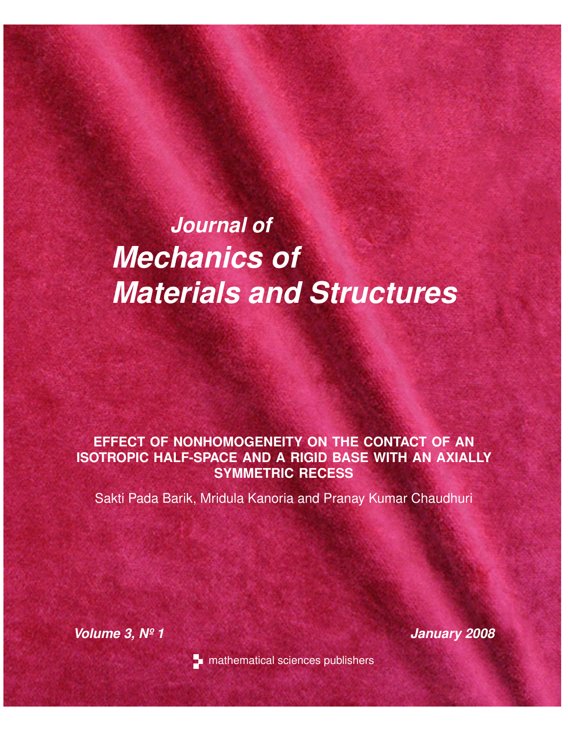# *Journal of Mechanics of Materials and Structures*

# **EFFECT OF NONHOMOGENEITY ON THE CONTACT OF AN ISOTROPIC HALF-SPACE AND A RIGID BASE WITH AN AXIALLY SYMMETRIC RECESS**

Sakti Pada Barik, Mridula Kanoria and Pranay Kumar Chaudhuri

*Volume 3, Nº 1 January 2008*



**n** mathematical sciences publishers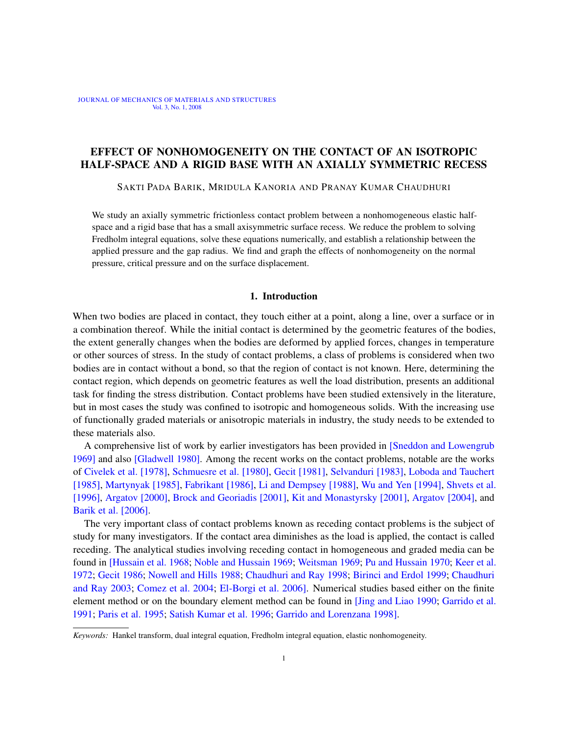### EFFECT OF NONHOMOGENEITY ON THE CONTACT OF AN ISOTROPIC HALF-SPACE AND A RIGID BASE WITH AN AXIALLY SYMMETRIC RECESS

SAKTI PADA BARIK, MRIDULA KANORIA AND PRANAY KUMAR CHAUDHURI

We study an axially symmetric frictionless contact problem between a nonhomogeneous elastic halfspace and a rigid base that has a small axisymmetric surface recess. We reduce the problem to solving Fredholm integral equations, solve these equations numerically, and establish a relationship between the applied pressure and the gap radius. We find and graph the effects of nonhomogeneity on the normal pressure, critical pressure and on the surface displacement.

#### 1. Introduction

When two bodies are placed in contact, they touch either at a point, along a line, over a surface or in a combination thereof. While the initial contact is determined by the geometric features of the bodies, the extent generally changes when the bodies are deformed by applied forces, changes in temperature or other sources of stress. In the study of contact problems, a class of problems is considered when two bodies are in contact without a bond, so that the region of contact is not known. Here, determining the contact region, which depends on geometric features as well the load distribution, presents an additional task for finding the stress distribution. Contact problems have been studied extensively in the literature, but in most cases the study was confined to isotropic and homogeneous solids. With the increasing use of functionally graded materials or anisotropic materials in indus[try, the study needs to be](#page-18-0) extended to th[ese materials als](#page-17-0)o.

[A comp](#page-16-0)r[ehensive list of work by](#page-17-1) [earlier invest](#page-17-2)i[gators has been pro](#page-17-3)vided in [\[Sneddon and](#page-17-4) Lowengrub 1969] [and als](#page-17-5)o [\[Gladwell 1980\].](#page-17-6) [Among the recent works](#page-17-7) [on the contact proble](#page-18-1)[ms, notable a](#page-18-2)re the works of [Civelek](#page-16-1) et al. [1978], [Schmuesre et a](#page-16-2)l. [\[1980\],](#page-17-8) Gecit [1981], Selvanduri [\[1983\],](#page-16-3) Loboda and Tauchert [\[1985](#page-16-4)], Martynyak [1985], Fabrikant [1986], Li and Dempsey [1988], Wu and Yen [1994], Shvets et al. [1996], Argatov [2000], Brock and Georiadis [2001], Kit and Monastyrsky [2001], Argatov [2004], and Barik et al. [2006].

The very important class of contact problems known as receding contact problems is the subject of [study for many i](#page-17-9)[nvestigators. If the conta](#page-17-10)[ct area diminishe](#page-18-3)[s as the load is applie](#page-17-11)[d, the cont](#page-17-12)act is called [reced](#page-17-13)[ing. The analytical stud](#page-17-14)[ies involving receding co](#page-16-5)[ntact in homogeneous a](#page-16-6)[nd graded m](#page-16-7)edia can be [fou](#page-16-7)nd in [\[Hussain et al](#page-16-8). 1968; [Noble and Hus](#page-16-9)sain 1969; Weitsman 1969; Pu and Hussain 1970; Keer et al. 1972; Gecit 1986; Nowell and Hills 1988; Chaudhuri and [Ray 1998;](#page-17-15) Birinci a[nd Erdol 1999](#page-17-16); Chaudhuri [and Ray 2](#page-17-17)003; [Comez et al. 2004;](#page-17-18) [El-Borgi et al. 2006\]. Numeri](#page-17-19)cal studies based either on the finite element method or on the boundary element method can be found in [Jing and Liao 1990; Garrido et al. 1991; Paris et al. 1995; Satish Kumar et al. 1996; Garrido and Lorenzana 1998].

*Keywords:* Hankel transform, dual integral equation, Fredholm integral equation, elastic nonhomogeneity.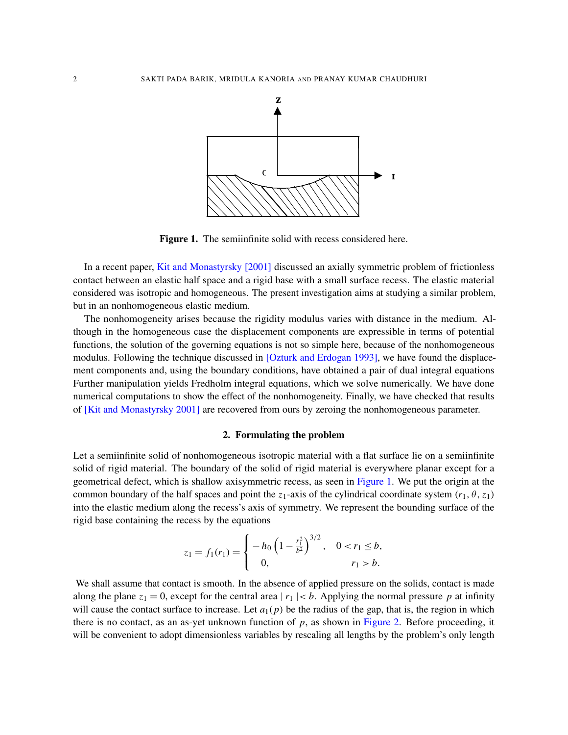<span id="page-2-0"></span>

[Figure 1.](#page-17-8) The semiinfinite solid with recess considered here.

In a recent paper, Kit and Monastyrsky [2001] discussed an axially symmetric problem of frictionless contact between an elastic half space and a rigid base with a small surface recess. The elastic material considered was isotropic and homogeneous. The present investigation aims at studying a similar problem, but in an nonhomogeneous elastic medium.

The nonhomogeneity arises because the rigidity modulus varies with distance in the medium. Although in the homogeneous case [the displacement compone](#page-17-20)nts are expressible in terms of potential functions, the solution of the governing equations is not so simple here, because of the nonhomogeneous modulus. Following the technique discussed in [Ozturk and Erdogan 1993], we have found the displacement components and, using the boundary conditions, have obtained a pair of dual integral equations [Further manipulat](#page-17-8)ion yields Fredholm integral equations, which we solve numerically. We have done numerical computations to show the effect of the nonhomogeneity. Finally, we have checked that results of [Kit and Monastyrsky 2001] are recovered from ours by zeroing the nonhomogeneous parameter.

#### 2. Formulating the problem

Let a semiinfinite solid of nonhomogeneous isotropic [material w](#page-2-0)ith a flat surface lie on a semiinfinite solid of rigid material. The boundary of the solid of rigid material is everywhere planar except for a geometrical defect, which is shallow axisymmetric recess, as seen in Figure 1. We put the origin at the common boundary of the half spaces and point the  $z_1$ -axis of the cylindrical coordinate system ( $r_1$ ,  $\theta$ ,  $z_1$ ) into the elastic medium along the recess's axis of symmetry. We represent the bounding surface of the rigid base containing the recess by the equations

$$
z_1 = f_1(r_1) = \begin{cases} -h_0 \left(1 - \frac{r_1^2}{b^2}\right)^{3/2}, & 0 < r_1 \le b, \\ 0, & r_1 > b. \end{cases}
$$

We shall assume that contact is smooth. In the absence of applied pressure on the solids, contact is made along the plane  $z_1 = 0$ , except for the central area  $|r_1| < b$ [. Applyin](#page-3-0)g the normal pressure p at infinity will cause the contact surface to increase. Let  $a_1(p)$  be the radius of the gap, that is, the region in which there is no contact, as an as-yet unknown function of  $p$ , as shown in Figure 2. Before proceeding, it will be convenient to adopt dimensionless variables by rescaling all lengths by the problem's only length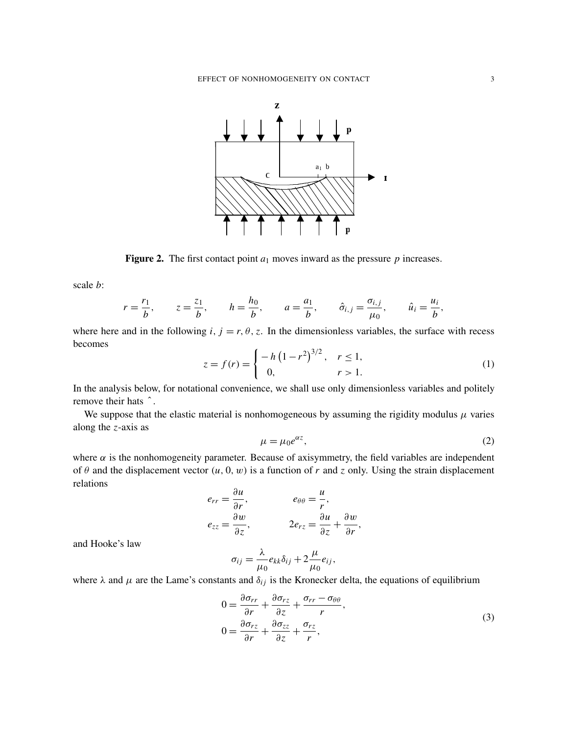<span id="page-3-0"></span>

**Figure 2.** The first contact point  $a_1$  moves inward as the pressure  $p$  increases.

scale *b*:

$$
r = \frac{r_1}{b}, \qquad z = \frac{z_1}{b}, \qquad h = \frac{h_0}{b}, \qquad a = \frac{a_1}{b}, \qquad \hat{\sigma}_{i,j} = \frac{\sigma_{i,j}}{\mu_0}, \qquad \hat{u}_i = \frac{u_i}{b},
$$

<span id="page-3-2"></span>where here and in the following  $i, j = r, \theta, z$ . In the dimensionless variables, the surface with recess becomes

$$
z = f(r) = \begin{cases} -h(1 - r^2)^{3/2}, & r \le 1, \\ 0, & r > 1. \end{cases}
$$
 (1)

In the analysis below, for notational convenience, we shall use only dimensionless variables and politely remove their hats ˆ.

<span id="page-3-3"></span>We suppose that the elastic material is nonhomogeneous by assuming the rigidity modulus  $\mu$  varies along the *z*-axis as

$$
\mu = \mu_0 e^{\alpha z},\tag{2}
$$

where  $\alpha$  is the nonhomogeneity parameter. Because of axisymmetry, the field variables are independent of  $\theta$  and the displacement vector  $(u, 0, w)$  is a function of  $r$  and  $z$  only. Using the strain displacement relations

$$
e_{rr} = \frac{\partial u}{\partial r}, \qquad e_{\theta\theta} = \frac{u}{r},
$$
  

$$
e_{zz} = \frac{\partial w}{\partial z}, \qquad 2e_{rz} = \frac{\partial u}{\partial z} + \frac{\partial w}{\partial r},
$$

and Hooke's law

<span id="page-3-1"></span>
$$
\sigma_{ij} = \frac{\lambda}{\mu_0} e_{kk} \delta_{ij} + 2 \frac{\mu}{\mu_0} e_{ij},
$$

where  $\lambda$  and  $\mu$  are the Lame's constants and  $\delta_{ij}$  is the Kronecker delta, the equations of equilibrium

$$
0 = \frac{\partial \sigma_{rr}}{\partial r} + \frac{\partial \sigma_{rz}}{\partial z} + \frac{\sigma_{rr} - \sigma_{\theta\theta}}{r},
$$
  
\n
$$
0 = \frac{\partial \sigma_{rz}}{\partial r} + \frac{\partial \sigma_{zz}}{\partial z} + \frac{\sigma_{rz}}{r},
$$
\n(3)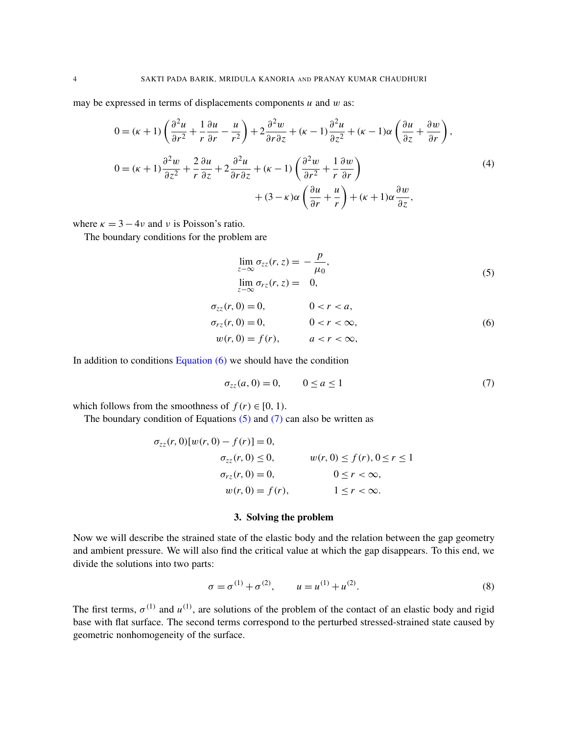may be expressed in terms of displacements components  $u$  and  $w$  as:

$$
0 = (\kappa + 1) \left( \frac{\partial^2 u}{\partial r^2} + \frac{1}{r} \frac{\partial u}{\partial r} - \frac{u}{r^2} \right) + 2 \frac{\partial^2 w}{\partial r \partial z} + (\kappa - 1) \frac{\partial^2 u}{\partial z^2} + (\kappa - 1) \alpha \left( \frac{\partial u}{\partial z} + \frac{\partial w}{\partial r} \right),
$$
  
\n
$$
0 = (\kappa + 1) \frac{\partial^2 w}{\partial z^2} + \frac{2}{r} \frac{\partial u}{\partial z} + 2 \frac{\partial^2 u}{\partial r \partial z} + (\kappa - 1) \left( \frac{\partial^2 w}{\partial r^2} + \frac{1}{r} \frac{\partial w}{\partial r} \right)
$$
  
\n
$$
+ (3 - \kappa) \alpha \left( \frac{\partial u}{\partial r} + \frac{u}{r} \right) + (\kappa + 1) \alpha \frac{\partial w}{\partial z},
$$
\n(4)

where  $\kappa = 3 - 4\nu$  and  $\nu$  is Poisson's ratio.

The boundary conditions for the problem are

<span id="page-4-2"></span><span id="page-4-1"></span>
$$
\lim_{z \to \infty} \sigma_{zz}(r, z) = -\frac{p}{\mu_0},
$$
  
\n
$$
\lim_{z \to \infty} \sigma_{rz}(r, z) = 0,
$$
\n(5)

<span id="page-4-0"></span>
$$
\sigma_{zz}(r, 0) = 0, \qquad 0 < r < a,\n\sigma_{rz}(r, 0) = 0, \qquad 0 < r < \infty,\nw(r, 0) = f(r), \qquad a < r < \infty,
$$
\n(6)

In addition to conditions Equation  $(6)$  we should have the condition

$$
\sigma_{zz}(a,0) = 0, \qquad 0 \le a \le 1 \tag{7}
$$

which follows from the smoothness of  $f(r) \in [0, 1)$ .

The boundary condition of Equations  $(5)$  and  $(7)$  can also be written as

$$
\sigma_{zz}(r, 0)[w(r, 0) - f(r)] = 0,\n\sigma_{zz}(r, 0) \le 0, \qquad w(r, 0) \le f(r), 0 \le r \le 1\n\sigma_{rz}(r, 0) = 0, \qquad 0 \le r < \infty,\n w(r, 0) = f(r), \qquad 1 \le r < \infty.
$$

#### <span id="page-4-3"></span>3. Solving the problem

Now we will describe the strained state of the elastic body and the relation between the gap geometry and ambient pressure. We will also find the critical value at which the gap disappears. To this end, we divide the solutions into two parts:

$$
\sigma = \sigma^{(1)} + \sigma^{(2)}, \qquad u = u^{(1)} + u^{(2)}.
$$
\n(8)

The first terms,  $\sigma^{(1)}$  and  $u^{(1)}$ , are solutions of the problem of the contact of an elastic body and rigid base with flat surface. The second terms correspond to the perturbed stressed-strained state caused by geometric nonhomogeneity of the surface.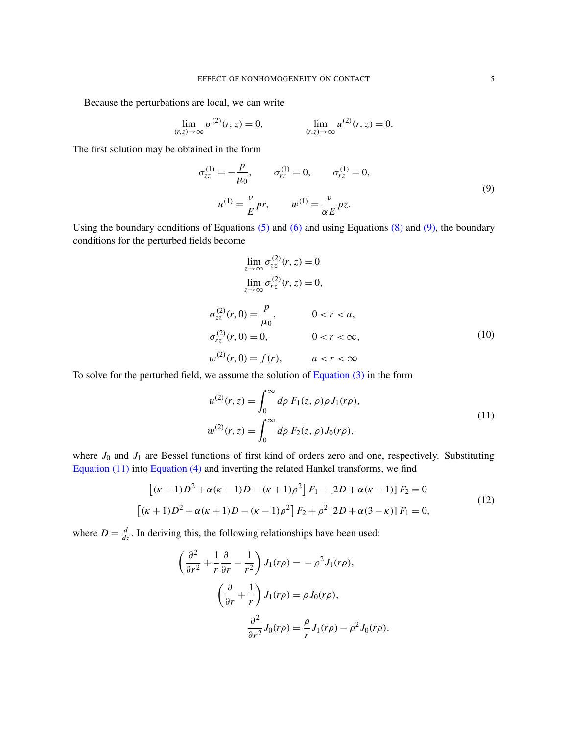Because the perturbations are local, we can write

$$
\lim_{(r,z)\to\infty} \sigma^{(2)}(r,z) = 0, \qquad \lim_{(r,z)\to\infty} u^{(2)}(r,z) = 0.
$$

The first solution may be obtained in the form

$$
\sigma_{zz}^{(1)} = -\frac{p}{\mu_0}, \qquad \sigma_{rr}^{(1)} = 0, \qquad \sigma_{rz}^{(1)} = 0,
$$
  

$$
u^{(1)} = \frac{v}{E} pr, \qquad w^{(1)} = \frac{v}{\alpha E} pz.
$$
 (9)

Using the boundary conditions of Equations  $(5)$  and  $(6)$  and using Equations  $(8)$  and  $(9)$ , the boundary conditions for the perturbed fields become

$$
\lim_{z \to \infty} \sigma_{zz}^{(2)}(r, z) = 0
$$
\n
$$
\lim_{z \to \infty} \sigma_{rz}^{(2)}(r, z) = 0,
$$
\n
$$
\sigma_{zz}^{(2)}(r, 0) = \frac{p}{\mu_0}, \qquad 0 < r < a,
$$
\n
$$
\sigma_{rz}^{(2)}(r, 0) = 0, \qquad 0 < r < \infty,
$$
\n
$$
w^{(2)}(r, 0) = f(r), \qquad a < r < \infty
$$
\n(10)

To solve for the perturbed field, we assume the solution of Equation (3) in the form

<span id="page-5-0"></span>
$$
u^{(2)}(r, z) = \int_0^\infty d\rho \ F_1(z, \rho) \rho J_1(r\rho),
$$
  
\n
$$
w^{(2)}(r, z) = \int_0^\infty d\rho \ F_2(z, \rho) J_0(r\rho),
$$
\n(11)

where  $J_0$  and  $J_1$  are Bessel functions of first kind of orders zero and one, respectively. Substituting Equation (11) into Equation (4) and inverting the related Hankel transforms, we find

$$
[(\kappa - 1)D^2 + \alpha(\kappa - 1)D - (\kappa + 1)\rho^2] F_1 - [2D + \alpha(\kappa - 1)] F_2 = 0
$$
  

$$
[(\kappa + 1)D^2 + \alpha(\kappa + 1)D - (\kappa - 1)\rho^2] F_2 + \rho^2 [2D + \alpha(3 - \kappa)] F_1 = 0,
$$
 (12)

where  $D = \frac{d}{dz}$ . In deriving this, the following relationships have been used:

$$
\left(\frac{\partial^2}{\partial r^2} + \frac{1}{r}\frac{\partial}{\partial r} - \frac{1}{r^2}\right) J_1(r\rho) = -\rho^2 J_1(r\rho),
$$

$$
\left(\frac{\partial}{\partial r} + \frac{1}{r}\right) J_1(r\rho) = \rho J_0(r\rho),
$$

$$
\frac{\partial^2}{\partial r^2} J_0(r\rho) = \frac{\rho}{r} J_1(r\rho) - \rho^2 J_0(r\rho).
$$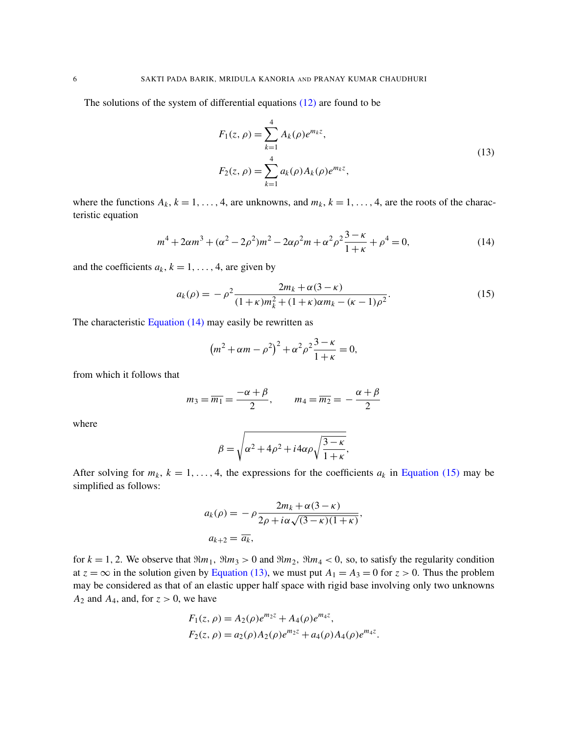The solutions of the system of differential equations (12) are found to be

<span id="page-6-1"></span>
$$
F_1(z,\rho) = \sum_{k=1}^4 A_k(\rho) e^{m_k z},
$$
  
\n
$$
F_2(z,\rho) = \sum_{k=1}^4 a_k(\rho) A_k(\rho) e^{m_k z},
$$
\n(13)

where the functions  $A_k$ ,  $k = 1, ..., 4$ , are unknowns, and  $m_k$ ,  $k = 1, ..., 4$ , are the roots of the characteristic equation

<span id="page-6-0"></span>
$$
m^{4} + 2\alpha m^{3} + (\alpha^{2} - 2\rho^{2})m^{2} - 2\alpha\rho^{2}m + \alpha^{2}\rho^{2}\frac{3 - \kappa}{1 + \kappa} + \rho^{4} = 0,
$$
\n(14)

and the coefficients  $a_k$ ,  $k = 1, \ldots, 4$ , are given by

$$
a_k(\rho) = -\rho^2 \frac{2m_k + \alpha(3 - \kappa)}{(1 + \kappa)m_k^2 + (1 + \kappa)\alpha m_k - (\kappa - 1)\rho^2}.
$$
\n(15)

The characteristic Equation  $(14)$  may easily be rewritten as

$$
(m^{2} + \alpha m - \rho^{2})^{2} + \alpha^{2} \rho^{2} \frac{3 - \kappa}{1 + \kappa} = 0,
$$

from which it follows that

$$
m_3 = \overline{m_1} = \frac{-\alpha + \beta}{2}, \qquad m_4 = \overline{m_2} = -\frac{\alpha + \beta}{2}
$$

where

$$
\beta = \sqrt{\alpha^2 + 4\rho^2 + i4\alpha\rho\sqrt{\frac{3-\kappa}{1+\kappa}}},
$$

After solving for  $m_k$ ,  $k = 1, ..., 4$ , the expressions for the coefficients  $a_k$  in Equation (15) may be simplified as follows:

$$
a_k(\rho) = -\rho \frac{2m_k + \alpha(3 - \kappa)}{2\rho + i\alpha\sqrt{(3 - \kappa)(1 + \kappa)}},
$$
  

$$
a_{k+2} = \overline{a_k},
$$

for  $k = 1, 2$ . We observe that  $\Re m_1$ ,  $\Re m_3 > 0$  and  $\Re m_2$ ,  $\Re m_4 < 0$ , so, to satisfy the regularity condition at  $z = \infty$  in the solution given by Equation (13), we must put  $A_1 = A_3 = 0$  for  $z > 0$ . Thus the problem may be considered as that of an elastic upper half space with rigid base involving only two unknowns  $A_2$  and  $A_4$ , and, for  $z > 0$ , we have

$$
F_1(z, \rho) = A_2(\rho)e^{m_2z} + A_4(\rho)e^{m_4z},
$$
  
\n
$$
F_2(z, \rho) = a_2(\rho)A_2(\rho)e^{m_2z} + a_4(\rho)A_4(\rho)e^{m_4z}.
$$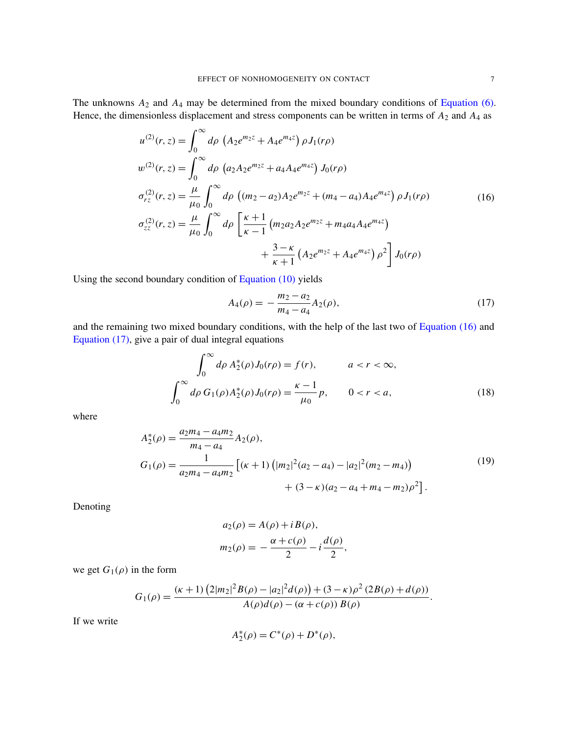The unknowns *A*<sup>2</sup> and *A*<sup>4</sup> may be determined from the mixed boundary conditions of Equation (6). Hence, the dimensionless displacement and stress components can be written in terms of  $A_2$  and  $A_4$  as

$$
u^{(2)}(r, z) = \int_0^\infty d\rho \left( A_2 e^{m_2 z} + A_4 e^{m_4 z} \right) \rho J_1(r\rho)
$$
  
\n
$$
w^{(2)}(r, z) = \int_0^\infty d\rho \left( a_2 A_2 e^{m_2 z} + a_4 A_4 e^{m_4 z} \right) J_0(r\rho)
$$
  
\n
$$
\sigma_{rz}^{(2)}(r, z) = \frac{\mu}{\mu_0} \int_0^\infty d\rho \left( (m_2 - a_2) A_2 e^{m_2 z} + (m_4 - a_4) A_4 e^{m_4 z} \right) \rho J_1(r\rho)
$$
  
\n
$$
\sigma_{zz}^{(2)}(r, z) = \frac{\mu}{\mu_0} \int_0^\infty d\rho \left[ \frac{\kappa + 1}{\kappa - 1} \left( m_2 a_2 A_2 e^{m_2 z} + m_4 a_4 A_4 e^{m_4 z} \right) + \frac{3 - \kappa}{\kappa + 1} \left( A_2 e^{m_2 z} + A_4 e^{m_4 z} \right) \rho^2 \right] J_0(r\rho)
$$
\n(16)

Using the second boundary condition of Equation (10) yields

<span id="page-7-0"></span>
$$
A_4(\rho) = -\frac{m_2 - a_2}{m_4 - a_4} A_2(\rho),\tag{17}
$$

and the remaining two mixed boundary conditions, with the help of the last two of Equation (16) and Equation (17), give a pair of dual integral equations

$$
\int_0^\infty d\rho \, A_2^*(\rho) J_0(r\rho) = f(r), \qquad a < r < \infty,
$$
\n
$$
\int_0^\infty d\rho \, G_1(\rho) A_2^*(\rho) J_0(r\rho) = \frac{\kappa - 1}{\mu_0} p, \qquad 0 < r < a,\tag{18}
$$

where

$$
A_2^*(\rho) = \frac{a_2 m_4 - a_4 m_2}{m_4 - a_4} A_2(\rho),
$$
  
\n
$$
G_1(\rho) = \frac{1}{a_2 m_4 - a_4 m_2} \left[ (\kappa + 1) \left( |m_2|^2 (a_2 - a_4) - |a_2|^2 (m_2 - m_4) \right) + (3 - \kappa) (a_2 - a_4 + m_4 - m_2) \rho^2 \right].
$$
\n(19)

Denoting

$$
a_2(\rho) = A(\rho) + i B(\rho),
$$
  
\n
$$
m_2(\rho) = -\frac{\alpha + c(\rho)}{2} - i \frac{d(\rho)}{2},
$$

we get  $G_1(\rho)$  in the form

$$
G_1(\rho) = \frac{(\kappa+1) (2|m_2|^2 B(\rho) - |a_2|^2 d(\rho)) + (3-\kappa)\rho^2 (2B(\rho) + d(\rho))}{A(\rho)d(\rho) - (\alpha + c(\rho)) B(\rho)}.
$$

If we write

$$
A_2^*(\rho) = C^*(\rho) + D^*(\rho),
$$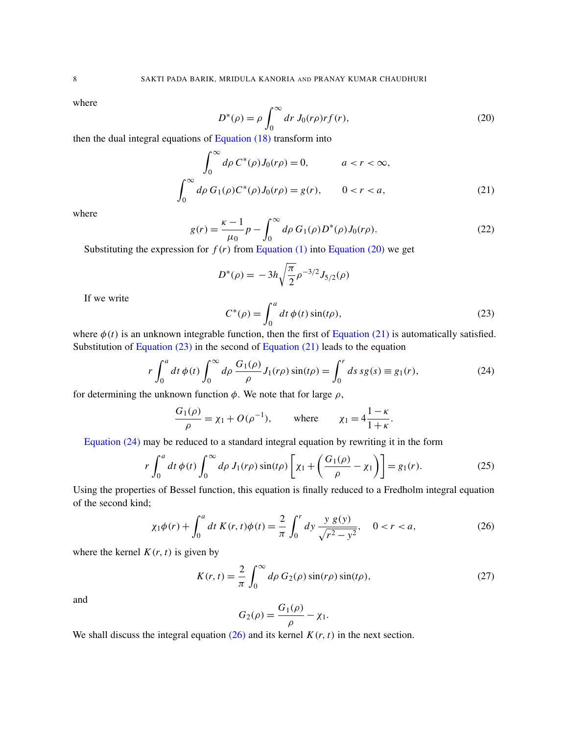<span id="page-8-0"></span>where

<span id="page-8-1"></span>
$$
D^*(\rho) = \rho \int_0^\infty dr J_0(r\rho) r f(r), \qquad (20)
$$

then the dual integral equations of Equation (18) transform into

$$
\int_0^{\infty} d\rho \, C^*(\rho) J_0(r\rho) = 0, \qquad a < r < \infty,
$$
\n
$$
\int_0^{\infty} d\rho \, G_1(\rho) C^*(\rho) J_0(r\rho) = g(r), \qquad 0 < r < a,\tag{21}
$$

where

$$
g(r) = \frac{\kappa - 1}{\mu_0} p - \int_0^\infty d\rho \, G_1(\rho) D^*(\rho) J_0(r\rho).
$$
 (22)

Substituting the expression for  $f(r)$  from Equation (1) into Equation (20) we get

$$
D^*(\rho) = -3h\sqrt{\frac{\pi}{2}}\rho^{-3/2}J_{5/2}(\rho)
$$

If we write

<span id="page-8-3"></span>
$$
C^*(\rho) = \int_0^a dt \, \phi(t) \sin(t\rho),\tag{23}
$$

where  $\phi(t)$  is an unknown integrable function, then the first of Equation (21) is automatically satisfied. Substitution of Equation  $(23)$  in the second of Equation  $(21)$  leads to the equation

$$
r \int_0^a dt \, \phi(t) \int_0^\infty d\rho \, \frac{G_1(\rho)}{\rho} J_1(r\rho) \sin(t\rho) = \int_0^r ds \, sg(s) \equiv g_1(r), \tag{24}
$$

for determining the unknown function  $\phi$ . We note that for large  $\rho$ ,

$$
\frac{G_1(\rho)}{\rho} = \chi_1 + O(\rho^{-1}), \quad \text{where} \quad \chi_1 = 4\frac{1-\kappa}{1+\kappa}.
$$

<span id="page-8-2"></span>Equation (24) may be reduced to a standard integral equation by rewriting it in the form

$$
r \int_0^a dt \, \phi(t) \int_0^\infty d\rho \, J_1(r\rho) \sin(t\rho) \left[ \chi_1 + \left( \frac{G_1(\rho)}{\rho} - \chi_1 \right) \right] = g_1(r). \tag{25}
$$

Using the properties of Bessel function, this equation is finally reduced to a Fredholm integral equation of the second kind;

<span id="page-8-4"></span>
$$
\chi_1 \phi(r) + \int_0^a dt \, K(r, t) \phi(t) = \frac{2}{\pi} \int_0^r dy \, \frac{y \, g(y)}{\sqrt{r^2 - y^2}}, \quad 0 < r < a,\tag{26}
$$

where the kernel  $K(r, t)$  is given by

$$
K(r,t) = \frac{2}{\pi} \int_0^\infty d\rho \ G_2(\rho) \sin(r\rho) \sin(t\rho),\tag{27}
$$

and

$$
G_2(\rho) = \frac{G_1(\rho)}{\rho} - \chi_1.
$$

We shall discuss the integral equation  $(26)$  and its kernel  $K(r, t)$  in the next section.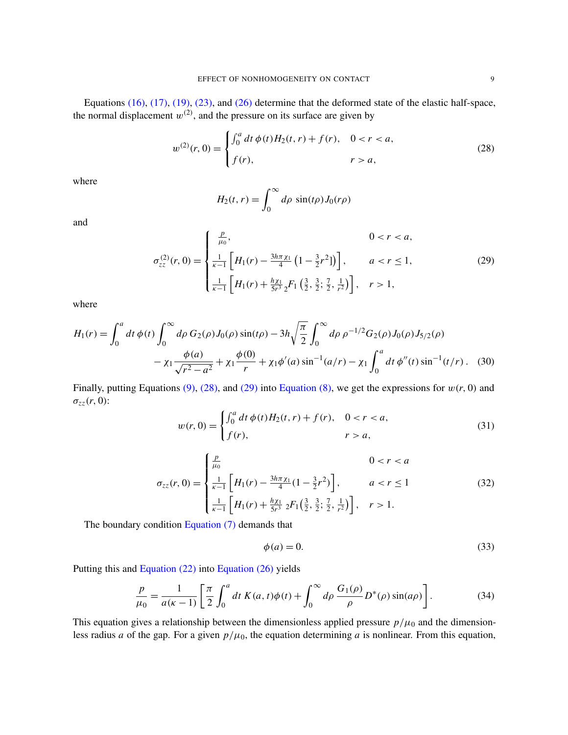Equations (16), (17), (19), (23), and (26) determine that the deformed state of the elastic half-space, the normal displacement  $w^{(2)}$ , and the pressure on its surface are given by

$$
w^{(2)}(r,0) = \begin{cases} \int_0^a dt \, \phi(t) H_2(t,r) + f(r), & 0 < r < a, \\ f(r), & r > a, \end{cases}
$$
 (28)

<span id="page-9-1"></span>where

<span id="page-9-2"></span><span id="page-9-0"></span>
$$
H_2(t,r) = \int_0^\infty d\rho \sin(t\rho) J_0(r\rho)
$$

and

$$
\sigma_{zz}^{(2)}(r,0) = \begin{cases}\n\frac{p}{\mu_0}, & 0 < r < a, \\
\frac{1}{\kappa - 1} \left[ H_1(r) - \frac{3h\pi\chi_1}{4} \left( 1 - \frac{3}{2}r^2 \right] \right], & a < r \le 1, \\
\frac{1}{\kappa - 1} \left[ H_1(r) + \frac{h\chi_1}{5r^3} {}_2F_1 \left( \frac{3}{2}, \frac{3}{2}; \frac{7}{2}, \frac{1}{r^2} \right) \right], & r > 1,\n\end{cases}
$$
\n(29)

where

$$
H_1(r) = \int_0^a dt \, \phi(t) \int_0^\infty d\rho \, G_2(\rho) J_0(\rho) \sin(t\rho) - 3h \sqrt{\frac{\pi}{2}} \int_0^\infty d\rho \, \rho^{-1/2} G_2(\rho) J_0(\rho) J_{5/2}(\rho) - \chi_1 \frac{\phi(a)}{\sqrt{r^2 - a^2}} + \chi_1 \frac{\phi(0)}{r} + \chi_1 \phi'(a) \sin^{-1}(a/r) - \chi_1 \int_0^a dt \, \phi''(t) \sin^{-1}(t/r) \,. \tag{30}
$$

<span id="page-9-4"></span><span id="page-9-3"></span>Finally, putting Equations  $(9)$ ,  $(28)$ , and  $(29)$  into Equation  $(8)$ , we get the expressions for  $w(r, 0)$  and σ*zz*(*r*, 0):

$$
w(r, 0) = \begin{cases} \int_0^a dt \, \phi(t) H_2(t, r) + f(r), & 0 < r < a, \\ f(r), & r > a, \end{cases}
$$
 (31)

$$
\sigma_{zz}(r,0) = \begin{cases} \frac{p}{\mu_0} & 0 < r < a \\ \frac{1}{\kappa - 1} \left[ H_1(r) - \frac{3h\pi \chi_1}{4} (1 - \frac{3}{2}r^2) \right], & a < r \le 1 \\ \frac{1}{\kappa - 1} \left[ H_1(r) + \frac{h\chi_1}{5r^3} \, _2F_1\left(\frac{3}{2}, \frac{3}{2}; \frac{7}{2}, \frac{1}{r^2}\right) \right], & r > 1. \end{cases} \tag{32}
$$

The boundary condition Equation (7) demands that

<span id="page-9-5"></span>
$$
\phi(a) = 0.\tag{33}
$$

Putting this and Equation (22) into Equation (26) yields

$$
\frac{p}{\mu_0} = \frac{1}{a(\kappa - 1)} \left[ \frac{\pi}{2} \int_0^a dt \ K(a, t) \phi(t) + \int_0^\infty d\rho \ \frac{G_1(\rho)}{\rho} D^*(\rho) \sin(a\rho) \right]. \tag{34}
$$

This equation gives a relationship between the dimensionless applied pressure  $p/\mu_0$  and the dimensionless radius *a* of the gap. For a given  $p/\mu_0$ , the equation determining *a* is nonlinear. From this equation,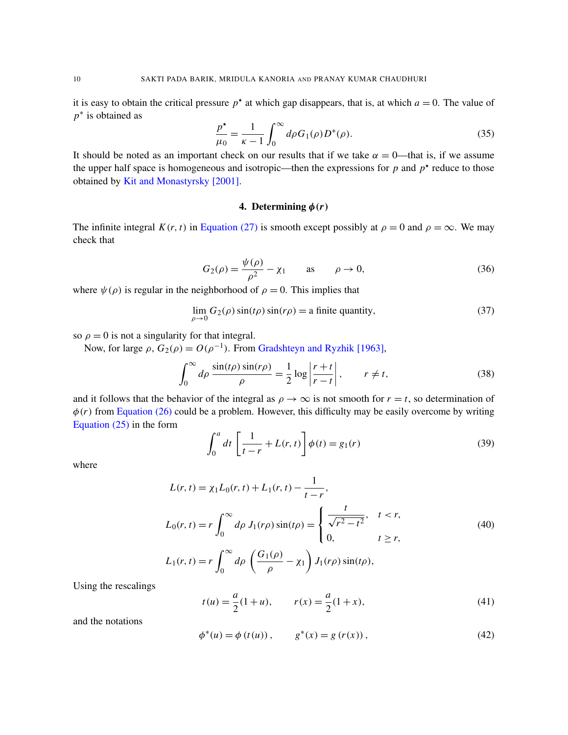<span id="page-10-0"></span>it is easy to obtain the critical pressure  $p^*$  at which gap disappears, that is, at which  $a = 0$ . The value of *p*<sup>∗</sup> is obtained as

$$
\frac{p^*}{\mu_0} = \frac{1}{\kappa - 1} \int_0^\infty d\rho G_1(\rho) D^*(\rho).
$$
 (35)

<span id="page-10-1"></span>[It should be noted as an im](#page-17-8)portant check on our results that if we take  $\alpha = 0$ —that is, if we assume the upper half space is homogeneous and isotropic—then the expressions for  $p$  and  $p^*$  reduce to those obtained by Kit and Monastyrsky [2001].

#### 4. Determining  $\phi(r)$

The infinite integral  $K(r, t)$  in Equation (27) is smooth except possibly at  $\rho = 0$  and  $\rho = \infty$ . We may check that

$$
G_2(\rho) = \frac{\psi(\rho)}{\rho^2} - \chi_1 \quad \text{as} \quad \rho \to 0,
$$
 (36)

where  $\psi(\rho)$  is regular in the neighborhood of  $\rho = 0$ . This implies that

$$
\lim_{\rho \to 0} G_2(\rho) \sin(t\rho) \sin(r\rho) = \text{a finite quantity},\tag{37}
$$

so  $\rho = 0$  is not a singularity for that integral.

Now, for large  $\rho$ ,  $G_2(\rho) = O(\rho^{-1})$ . From Gradshteyn and Ryzhik [1963],

 $\boldsymbol{0}$ 

$$
\int_0^\infty d\rho \, \frac{\sin(t\rho) \sin(r\rho)}{\rho} = \frac{1}{2} \log \left| \frac{r+t}{r-t} \right|, \qquad r \neq t,
$$
\n(38)

[an](#page-8-3)d it follows that the behavior of the integral as  $\rho \to \infty$  is not smooth for  $r = t$ , so determination of  $\phi(r)$  from Equation (26) could be a problem. However, this difficulty may be easily overcome by writing Equation (25) in the form

$$
\int_0^a dt \left[ \frac{1}{t-r} + L(r, t) \right] \phi(t) = g_1(r) \tag{39}
$$

where

$$
L(r, t) = \chi_1 L_0(r, t) + L_1(r, t) - \frac{1}{t - r},
$$
  
\n
$$
L_0(r, t) = r \int_0^\infty d\rho \ J_1(r\rho) \sin(t\rho) = \begin{cases} \frac{t}{\sqrt{r^2 - t^2}}, & t < r, \\ 0, & t \ge r, \end{cases}
$$
  
\n(40)  
\n
$$
L_1(r, t) = r \int_0^\infty d\rho \left( \frac{G_1(\rho)}{\rho} - \chi_1 \right) J_1(r\rho) \sin(t\rho),
$$

Using the rescalings

$$
t(u) = \frac{a}{2}(1+u), \qquad r(x) = \frac{a}{2}(1+x), \tag{41}
$$

and the notations

$$
\phi^*(u) = \phi(t(u)), \qquad g^*(x) = g(r(x)), \tag{42}
$$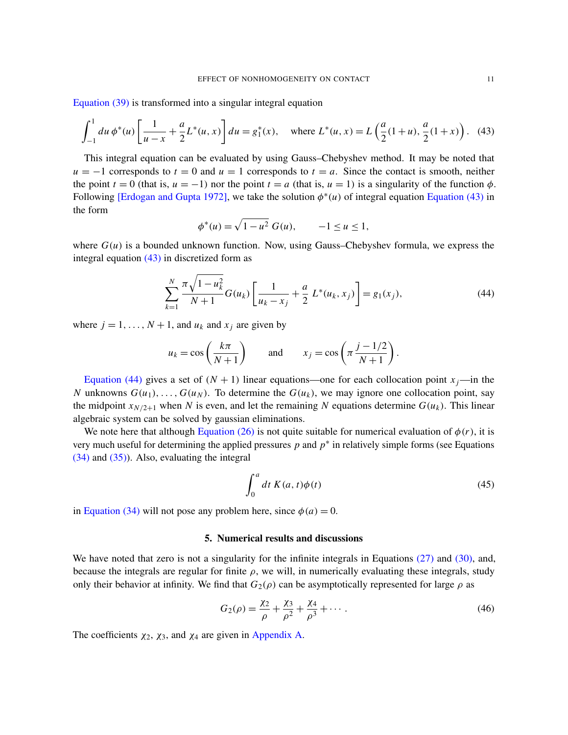Equation (39) is transformed into a singular integral equation

$$
\int_{-1}^{1} du \, \phi^*(u) \left[ \frac{1}{u-x} + \frac{a}{2} L^*(u, x) \right] du = g_1^*(x), \quad \text{where } L^*(u, x) = L\left(\frac{a}{2}(1+u), \frac{a}{2}(1+x)\right). \tag{43}
$$

This integral equation can be evaluated by using Gauss–Chebyshev method. It may be noted that  $u = -1$  corresponds to  $t = 0$  and  $u = 1$  corresponds to  $t = a$ . Since t[he contact is sm](#page-11-0)ooth, neither the point  $t = 0$  (that is,  $u = -1$ ) nor the point  $t = a$  (that is,  $u = 1$ ) is a singularity of the function  $\phi$ . Following [Erdogan and Gupta 1972], we take the solution  $\phi^*(u)$  of integral equation Equation (43) in the form

<span id="page-11-0"></span>
$$
\phi^*(u) = \sqrt{1 - u^2} \ G(u), \qquad -1 \le u \le 1,
$$

where  $G(u)$  is a bounded unknown function. Now, using Gauss–Chebyshev formula, we express the integral equation  $(43)$  in discretized form as

$$
\sum_{k=1}^{N} \frac{\pi \sqrt{1 - u_k^2}}{N + 1} G(u_k) \left[ \frac{1}{u_k - x_j} + \frac{a}{2} L^*(u_k, x_j) \right] = g_1(x_j), \tag{44}
$$

where  $j = 1, \ldots, N + 1$ , and  $u_k$  and  $x_j$  are given by

$$
u_k = \cos\left(\frac{k\pi}{N+1}\right)
$$
 and  $x_j = \cos\left(\pi \frac{j-1/2}{N+1}\right)$ .

Equation (44) gives a set of  $(N + 1)$  linear equations—one for each collocation point  $x_j$ —in the *N* unknowns  $G(u_1), \ldots, G(u_N)$ . To determine the  $G(u_k)$ , we may ignore one collocation point, say the midpoint  $x_{N/2+1}$  [when](#page-8-2) *N* is even, and let the remaining *N* equations determine  $G(u_k)$ . This linear [a](#page-10-0)lgebraic system can be solved by gaussian eliminations.

We note here that although Equation (26) is not quite suitable for numerical evaluation of  $\phi(r)$ , it is very much useful for determining the applied pressures  $p$  and  $p^*$  in relatively simple forms (see Equations (34) and (35)). Also, evaluating the integral

<span id="page-11-1"></span>
$$
\int_0^a dt K(a, t)\phi(t) \tag{45}
$$

in Equation (34) will not pose any problem here, since  $\phi(a) = 0$ .

#### 5. Numerical results and discussions

We have noted that zero is not a singularity for the infinite integrals in Equations (27) and (30), and, because the integrals are regular for finite  $\rho$ , we will, in numerically evaluating these integrals, study only their behavior at infinity. We find that  $G_2(\rho)$  can be asymptotically represented for large  $\rho$  as

$$
G_2(\rho) = \frac{\chi_2}{\rho} + \frac{\chi_3}{\rho^2} + \frac{\chi_4}{\rho^3} + \cdots
$$
 (46)

The coefficients  $\chi_2$ ,  $\chi_3$ , and  $\chi_4$  are given in Appendix A.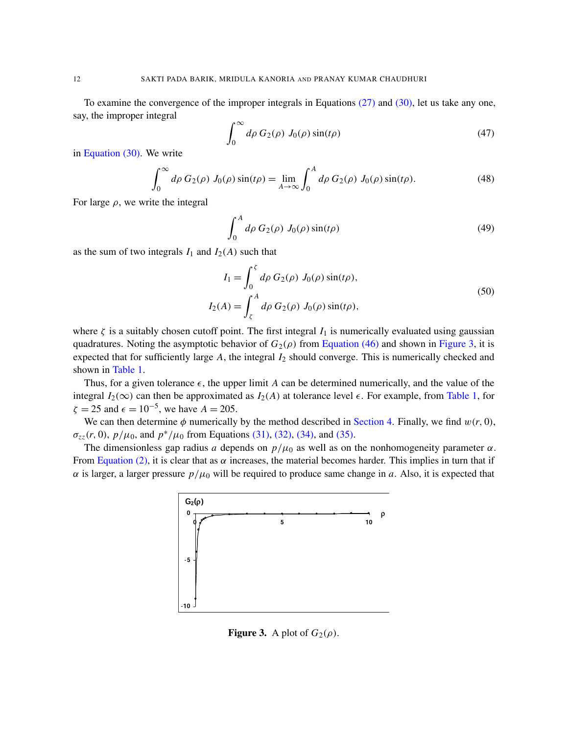To examine the convergence of the improper integrals in Equations (27) and (30), let us take any one, [say,](#page-9-2) the improper integral

$$
\int_0^\infty d\rho \, G_2(\rho) \, J_0(\rho) \sin(t\rho) \tag{47}
$$

in Equation (30). We write

$$
\int_0^\infty d\rho \, G_2(\rho) \, J_0(\rho) \sin(t\rho) = \lim_{A \to \infty} \int_0^A d\rho \, G_2(\rho) \, J_0(\rho) \sin(t\rho). \tag{48}
$$

For large  $\rho$ , we write the integral

$$
\int_0^A d\rho G_2(\rho) J_0(\rho) \sin(t\rho) \tag{49}
$$

as the sum of two integrals  $I_1$  and  $I_2(A)$  such that

$$
I_1 = \int_0^{\zeta} d\rho \, G_2(\rho) \, J_0(\rho) \sin(t\rho),
$$
  
\n
$$
I_2(A) = \int_{\zeta}^{A} d\rho \, G_2(\rho) \, J_0(\rho) \sin(t\rho),
$$
\n(50)

where  $\zeta$  is a suitably chosen cutoff point. The first integral  $I_1$  is numerically evaluated using gaussian [quad](#page-13-0)ratures. Noting the asymptotic behavior of  $G_2(\rho)$  from Equation (46) and shown in Figure 3, it is expected that for sufficiently large A, the integral  $I_2$  should converge. This is [numerica](#page-13-0)lly checked and shown in Table 1.

Thus, for a given tolerance  $\epsilon$ , the upper limit *A* can be determined numerically, and the value of the integral  $I_2(\infty)$  can then be approximated [as](#page-9-5)  $I_2(A)$  [at to](#page-10-0)[lerance lev](#page-10-1)el  $\epsilon$ . For example, from Table 1, for  $\zeta = 25$  $\zeta = 25$  $\zeta = 25$  and  $\epsilon = 10^{-5}$ , we have  $A = 205$ .

We can then determine  $\phi$  numerically by the method described in Section 4. Finally, we find  $w(r, 0)$ ,  $\sigma_{zz}(r, 0)$ ,  $p/\mu_0$ , and  $p^*/\mu_0$  from Equations (31), (32), (34), and (35).

The dimensionless gap radius *a* depends on  $p/\mu_0$  as well as on the nonhomogeneity parameter  $\alpha$ . From Equation (2), it is clear that as  $\alpha$  increases, the material becomes harder. This implies in turn that if  $\alpha$  is larger, a larger pressure  $p/\mu_0$  will be required to produce same change in *a*. Also, it is expected that



Figure 3. A plot of  $G_2(\rho)$ .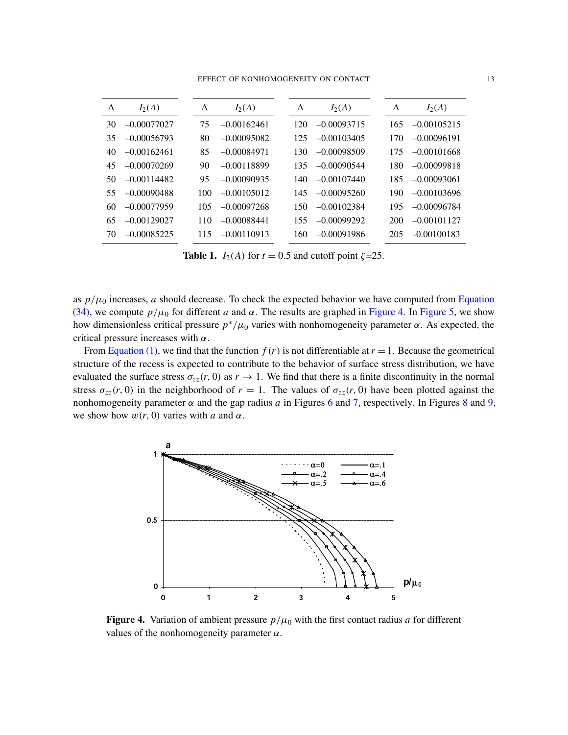EFFECT OF NONHOMOGENEITY ON CONTACT 13

<span id="page-13-0"></span>

| A  | $I_2(A)$      | A   | $I_2(A)$      | А   | $I_2(A)$      | A   | $I_2(A)$      |
|----|---------------|-----|---------------|-----|---------------|-----|---------------|
| 30 | $-0.00077027$ | 75  | $-0.00162461$ | 120 | $-0.00093715$ | 165 | $-0.00105215$ |
| 35 | $-0.00056793$ | 80  | $-0.00095082$ | 125 | $-0.00103405$ | 170 | $-0.00096191$ |
| 40 | $-0.00162461$ | 85  | $-0.00084971$ | 130 | $-0.00098509$ | 175 | $-0.00101668$ |
| 45 | $-0.00070269$ | 90  | $-0.00118899$ | 135 | $-0.00090544$ | 180 | $-0.00099818$ |
| 50 | $-0.00114482$ | 95  | $-0.00090935$ | 140 | $-0.00107440$ | 185 | $-0.00093061$ |
| 55 | $-0.00090488$ | 100 | $-0.00105012$ | 145 | $-0.00095260$ | 190 | $-0.00103696$ |
| 60 | $-0.00077959$ | 105 | $-0.00097268$ | 150 | $-0.00102384$ | 195 | $-0.00096784$ |
| 65 | $-0.00129027$ | 110 | $-0.00088441$ | 155 | $-0.00099292$ | 200 | $-0.00101127$ |
| 70 | $-0.00085225$ | 115 | $-0.00110913$ | 160 | $-0.00091986$ | 205 | $-0.00100183$ |

**Table 1.** *I*<sub>2</sub>(*A*) for  $t = 0.5$  and cutoff point  $\zeta = 25$ .

as  $p/\mu_0$  increases, *a* should decrease. To check the expected behavior we have computed from Equation (34), we compute  $p/\mu_0$  for different *a* and  $\alpha$ . The results are graphed in Figure 4. In Figure 5, we show [how dim](#page-3-2)ensionless critical pressure  $p^*/\mu_0$  varies with nonhomogeneity parameter  $\alpha$ . As expected, the critical pressure increases with  $\alpha$ .

From Equation (1), we find that the function  $f(r)$  is not differentiable at  $r = 1$ . Because the geometrical structure of the recess is expected to contribute to the behavior of surface stress distribution, we have evaluated [th](#page-14-1)e surface stress  $\sigma_{zz}(r, 0)$  as  $r \to 1$ . [We](#page-14-0) find that there is a finite discon[tin](#page-15-1)uit[y in](#page-15-2) the normal stress  $\sigma_{zz}(r, 0)$  in the neighborhood of  $r = 1$ . The values of  $\sigma_{zz}(r, 0)$  have been plotted against the nonhomogeneity parameter  $\alpha$  and the gap radius  $a$  in Figures 6 and 7, respectively. In Figures 8 and 9, we show how  $w(r, 0)$  varies with *a* and  $\alpha$ .



Figure 4. Variation of ambient pressure  $p/\mu_0$  with the first contact radius *a* for different values of the nonhomogeneity parameter  $\alpha$ .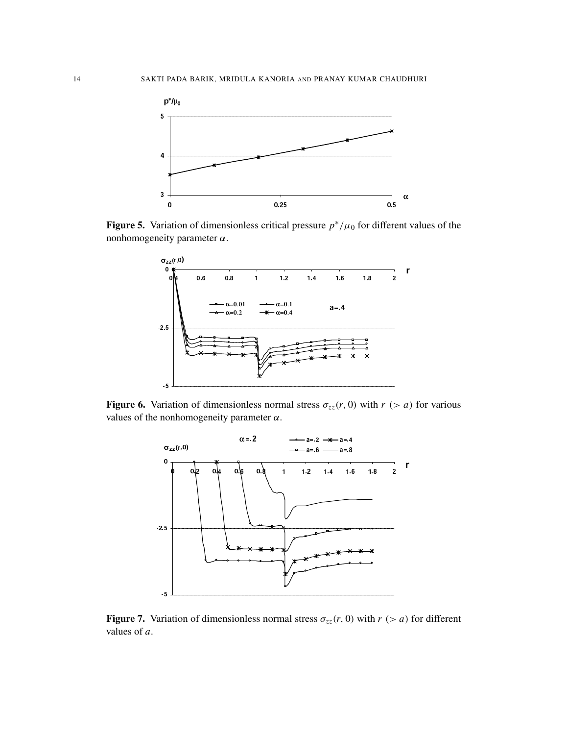

<span id="page-14-0"></span>µ **Figure 5.** Variation of dimensionless critical pressure  $p^*/\mu_0$  for different values of the nonhomogeneity parameter  $\alpha$ .



<span id="page-14-1"></span>σ **Figure 6.** Variation of dimensionless normal stress  $\sigma_{zz}(r, 0)$  with  $r$  (> *a*) for various values of the nonhomogeneity parameter  $\alpha$ .



Figure 7. Variation of dimensionless normal stress  $\sigma_{zz}(r, 0)$  with  $r > a$  for different values of *a*.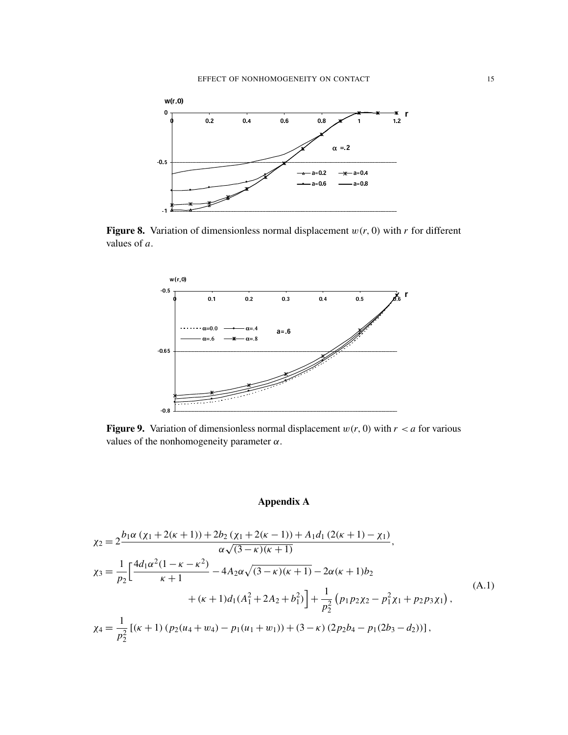<span id="page-15-1"></span>

<span id="page-15-2"></span>Figure 8. Variation of dimensionless normal displacement  $w(r, 0)$  with *r* for different values of *a*.



**Figure 9.** Variation of dimensionless normal displacement  $w(r, 0)$  with  $r < a$  for various values of the nonhomogeneity parameter  $\alpha$ .

## Appendix A

<span id="page-15-0"></span>
$$
\chi_2 = 2 \frac{b_1 \alpha (\chi_1 + 2(\kappa + 1)) + 2b_2 (\chi_1 + 2(\kappa - 1)) + A_1 d_1 (2(\kappa + 1) - \chi_1)}{\alpha \sqrt{(3 - \kappa)(\kappa + 1)}},
$$
  
\n
$$
\chi_3 = \frac{1}{p_2} \Big[ \frac{4d_1 \alpha^2 (1 - \kappa - \kappa^2)}{\kappa + 1} - 4A_2 \alpha \sqrt{(3 - \kappa)(\kappa + 1)} - 2\alpha (\kappa + 1)b_2 + (\kappa + 1)d_1 (A_1^2 + 2A_2 + b_1^2) \Big] + \frac{1}{p_2^2} (p_1 p_2 \chi_2 - p_1^2 \chi_1 + p_2 p_3 \chi_1),
$$
  
\n
$$
\chi_4 = \frac{1}{p_2^2} [(\kappa + 1) (p_2 (u_4 + w_4) - p_1 (u_1 + w_1)) + (3 - \kappa) (2p_2 b_4 - p_1 (2b_3 - d_2))],
$$
\n(A.1)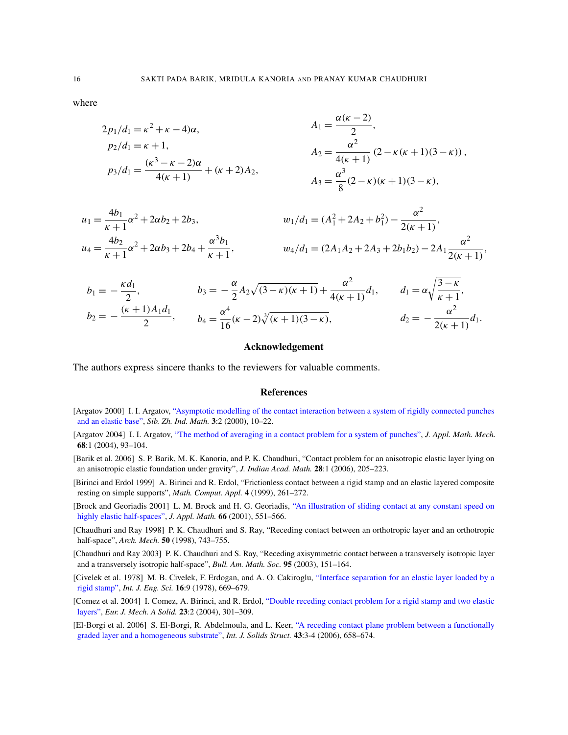where

$$
2p_1/d_1 = \kappa^2 + \kappa - 4)\alpha,
$$
  
\n
$$
p_2/d_1 = \kappa + 1,
$$
  
\n
$$
p_3/d_1 = \frac{(\kappa^3 - \kappa - 2)\alpha}{4(\kappa + 1)} + (\kappa + 2)A_2,
$$
  
\n
$$
A_2 = \frac{\alpha^2}{4(\kappa + 1)} (2 - \kappa(\kappa + 1)(3 - \kappa)),
$$
  
\n
$$
A_3 = \frac{\alpha^3}{8} (2 - \kappa)(\kappa + 1)(3 - \kappa),
$$

$$
u_1 = \frac{4b_1}{\kappa + 1} \alpha^2 + 2\alpha b_2 + 2b_3,
$$
  
\n
$$
u_2/d_1 = (A_1^2 + 2A_2 + b_1^2) - \frac{\alpha^2}{2(\kappa + 1)},
$$
  
\n
$$
u_3/d_1 = (2A_1A_2 + 2A_3 + 2b_1b_2) - 2A_1\frac{\alpha^2}{2(\kappa + 1)},
$$
  
\n
$$
w_4/d_1 = (2A_1A_2 + 2A_3 + 2b_1b_2) - 2A_1\frac{\alpha^2}{2(\kappa + 1)},
$$

$$
b_1 = -\frac{\kappa d_1}{2}, \qquad b_3 = -\frac{\alpha}{2} A_2 \sqrt{(3-\kappa)(\kappa+1)} + \frac{\alpha^2}{4(\kappa+1)} d_1, \qquad d_1 = \alpha \sqrt{\frac{3-\kappa}{\kappa+1}},
$$
  

$$
b_2 = -\frac{(\kappa+1)A_1 d_1}{2}, \qquad b_4 = \frac{\alpha^4}{16} (\kappa-2) \sqrt[3]{(\kappa+1)(3-\kappa)}, \qquad d_2 = -\frac{\alpha^2}{2(\kappa+1)} d_1.
$$

#### Acknowledgement

<span id="page-16-1"></span>The authors express sincere thanks to the reviewers for valuable comments.

#### References

- <span id="page-16-3"></span>[Argatov 2000] I. I. Argatov, ["Asymptotic modelling of the contact interaction between a](http://dx.doi.org/10.1016/S0021-8928(04)90009-3) system of rigidly connected punches and an elastic base", *Sib. Zh. Ind. Math.* 3:2 (2000), 10–22.
- <span id="page-16-4"></span>[Argatov 2004] I. I. Argatov, "The method of averaging in a contact problem for a system of punches", *J. Appl. Math. Mech.* 68:1 (2004), 93–104.
- <span id="page-16-6"></span>[Barik et al. 2006] S. P. Barik, M. K. Kanoria, and P. K. Chaudhuri, "Contact problem for an anisotropic elastic layer lying on an anisotropic elastic foundation under gravity", *J. Indian Acad. Math.* 28:1 (2006), 205–223.
- <span id="page-16-2"></span>[\[Birinci and](http://dx.doi.org/10.1093/imamat/66.6.551) Erdol 1999] A. Birinci and R. Erdol, ["Frictionless contact between a rigid stamp and an elastic laye](http://dx.doi.org/10.1093/imamat/66.6.551)red composite resting on simple supports", *Math. Comput. Appl.* 4 (1999), 261–272.
- <span id="page-16-5"></span>[Brock and Georiadis 2001] L. M. Brock and H. G. Georiadis, "An illustration of sliding contact at any constant speed on highly elastic half-spaces", *J. Appl. Math.* 66 (2001), 551–566.
- <span id="page-16-7"></span>[Chaudhuri and Ray 1998] P. K. Chaudhuri and S. Ray, "Receding contact between an orthotropic layer and an orthotropic half-space", *Arch. Mech.* 50 (1998), 743–755.
- <span id="page-16-0"></span>[Chaudhuri and Ray 2003] P. K. Chaudhuri and S. Ray, ["Receding axisymmetric contact between a transversely](http://dx.doi.org/10.1016/0020-7225(78)90044-7) isotropic layer and a transversely isotropic half-space", *Bull. Am. Math. Soc.* 95 (2003), 151–164.
- <span id="page-16-8"></span>[Civelek et al. 1978] M. B. Civelek, F. Erdogan, and A. O. Cakiroglu, ["Interface separation for an elastic lay](http://dx.doi.org/1.1016/j.euromechsol.2003.09.006)er loaded by a rigid stamp", *Int. J. Eng. Sci.* 16:9 (1978), 669–679.
- <span id="page-16-9"></span>[\[Comez et al. 2004\]](http://dx.doi.org/10.1016/j.ijsolstr.2005.04.017) I. Comez, A. Birinci, and R. Erdol, ["Double receding contact problem for a rigid stamp a](http://dx.doi.org/10.1016/j.ijsolstr.2005.04.017)nd two elastic layers", *Eur. J. Mech. A Solid.* 23:2 (2004), 301–309.
- [El-Borgi et al. 2006] S. El-Borgi, R. Abdelmoula, and L. Keer, "A receding contact plane problem between a functionally graded layer and a homogeneous substrate", *Int. J. Solids Struct.* 43:3-4 (2006), 658–674.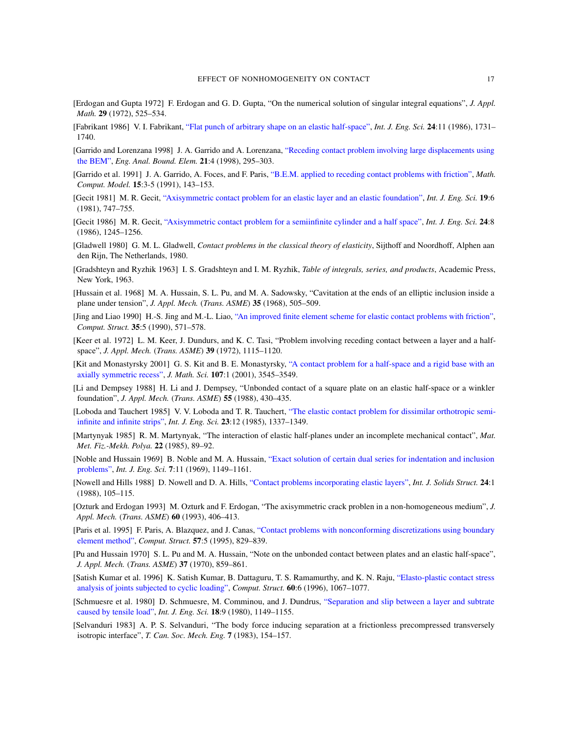- <span id="page-17-22"></span><span id="page-17-6"></span>[Erdogan and Gupta 1972] [F. Erdogan and G. D. Gupta, "On the numeri](http://dx.doi.org/10.1016/0020-7225(86)90078-9)cal solution of singular integral equations", *J. Appl. Math.* 29 (1972), 525–534.
- <span id="page-17-19"></span>[Fabrikant 1986] V. I. Fabrikant, "Flat punch o[f arbitrary shape on an elastic half-space",](http://dx.doi.org/10.1016/S0955-7997(98)00018-6) *Int. J. Eng. Sci.* 24:11 (1986), 1731– 1740.
- <span id="page-17-16"></span>[Garrido and Lorenzana 1998] J. A. Garrido and A. Lorenzana, ["Receding contact problem involving larg](http://dx.doi.org/10.1016/0895-7177(91)90060-K)e displacements using the BEM", *Eng. Anal. Bound. Elem.* 21:4 (1998), 295–303.
- <span id="page-17-2"></span>[Garrido et al. 1991] [J. A. Garrido, A. Foces, and F. Paris,](http://dx.doi.org/10.1016/0020-7225(81)90108-7) "B.E.M. applied to receding contact problems with friction", *Math. Comput. Model.* 15:3-5 (1991), 143–153.
- <span id="page-17-13"></span>[Gecit 1981] M. R. Gecit, ["Axisymmetric contact problem for an elastic layer and an elas](http://dx.doi.org/10.1016/0020-7225(86)90054-6)tic foundation", *Int. J. Eng. Sci.* 19:6 (1981), 747–755.
- <span id="page-17-0"></span>[Gecit 1986] M. R. Gecit, "Axisymmetric contact problem for a semiinfinite cylinder and a half space", *Int. J. Eng. Sci.* 24:8 (1986), 1245–1256.
- <span id="page-17-21"></span>[Gladwell 1980] G. M. L. Gladwell, *Contact problems in the classical theory of elasticity*, Sijthoff and Noordhoff, Alphen aan den Rijn, The Netherlands, 1980.
- <span id="page-17-9"></span>[Gradshteyn and Ryzhik 1963] I. S. Gradshteyn and I. M. Ryzhik, *Table of integrals, series, and products*, Academic Press, New York, 1963.
- <span id="page-17-15"></span>[Hussain et al. 1968] M. A. Hu[ssain, S. L. Pu, and M. A. Sadowsky, "Cavitation at the ends of an elliptic inc](http://dx.doi.org/10.1016/0045-7949(90)90385-F)lusion inside a plane under tension", *J. Appl. Mech.* (*Trans. ASME*) 35 (1968), 505–509.
- <span id="page-17-12"></span>[Jing and Liao 1990] H.-S. Jing and M.-L. Liao, "An improved finite element scheme for elastic contact problems with friction", *Comput. Struct.* 35:5 (1990), 571–578.
- <span id="page-17-8"></span>[\[Keer et al.](http://dx.doi.org/10.1023/A:1011934203478) 1972] L. M. Keer, J. Dundurs, and [K. C. Tasi, "Problem involving receding contact between a la](http://dx.doi.org/10.1023/A:1011934203478)yer and a halfspace", *J. Appl. Mech.* (*Trans. ASME*) 39 (1972), 1115–1120.
- <span id="page-17-7"></span>[Kit and Monastyrsky 2001] G. S. Kit and B. E. Monastyrsky, "A contact problem for a half-space and a rigid base with an axially symmetric recess", *J. Math. Sci.* 107:1 (2001), 3545–3549.
- <span id="page-17-4"></span>[\[Li and Dem](http://dx.doi.org/10.1016/0020-7225(85)90112-0)psey 1988] H. Li and J. Dempsey[, "Unbonded contact of a square plate on an elastic half-spac](http://dx.doi.org/10.1016/0020-7225(85)90112-0)e or a winkler foundation", *J. Appl. Mech.* (*Trans. ASME*) 55 (1988), 430–435.
- <span id="page-17-5"></span>[Loboda and Tauchert 1985] V. V. Loboda and T. R. Tauchert, "The elastic contact problem for dissimilar orthotropic semiinfinite and infinite strips", *Int. J. Eng. Sci.* 23:12 (1985), 1337–1349.
- <span id="page-17-10"></span>[Martynyak 1985] R. M. Martynyak, "T[he interaction of elastic half-planes under an incomplete mechanical](http://dx.doi.org/10.1016/0020-7225(69)90081-0) contact", *Mat. Met. Fiz.-Mekh. Polya.* 22 (1985), 89–92.
- <span id="page-17-14"></span>[Noble and Hussain 1969] B. Noble and M. A. Hussain, ["Exact solution of certain d](http://dx.doi.org/10.1016/0020-7683(88)90102-3)ual series for indentation and inclusion problems", *Int. J. Eng. Sci.* 7:11 (1969), 1149–1161.
- <span id="page-17-20"></span>[Nowell and Hills 1988] D. Nowell and D. A. Hills, "Contact problems incorporating elastic layers", *Int. J. Solids Struct.* 24:1 (1988), 105–115.
- <span id="page-17-17"></span>[\[Oz](http://dx.doi.org/10.1016/0045-7949(95)92007-5)turk and Erdogan 1993] M. Ozturk [and F. Erdogan, "The axisymmetric crack problen in a non-homogeneo](http://dx.doi.org/10.1016/0045-7949(95)92007-5)us medium", *J. Appl. Mech.* (*Trans. ASME*) 60 (1993), 406–413.
- <span id="page-17-11"></span>[Paris et al. 1995] F. Paris, A. Blazquez, and J. Canas, "Contact problems with nonconforming discretizations using boundary element method", *Comput. Struct.* 57:5 (1995), 829–839.
- <span id="page-17-18"></span>[\[Pu and Hussain 1970\]](http://dx.doi.org/10.1016/0045-7949(95)00413-0) S. L. Pu and M. A. Hussain, "Note on the unbonded cont[act between plates and an elas](http://dx.doi.org/10.1016/0045-7949(95)00413-0)tic half-space", *J. Appl. Mech.* (*Trans. ASME*) 37 (1970), 859–861.
- <span id="page-17-1"></span>[\[Satish K](http://dx.doi.org/10.1016/0020-7225(80)90115-9)umar et al. 1996] K. Satish Kumar, B. Dattaguru[, T. S. Ramamurthy, and K. N. Raju,](http://dx.doi.org/10.1016/0020-7225(80)90115-9) "Elasto-plastic contact stress analysis of joints subjected to cyclic loading", *Comput. Struct.* 60:6 (1996), 1067–1077.
- <span id="page-17-3"></span>[Schmuesre et al. 1980] D. Schmuesre, M. Comminou, and J. Dundrus, "Separation and slip between a layer and subtrate caused by tensile load", *Int. J. Eng. Sci.* 18:9 (1980), 1149–1155.
- [Selvanduri 1983] A. P. S. Selvanduri, "The body force inducing separation at a frictionless precompressed transversely isotropic interface", *T. Can. Soc. Mech. Eng.* 7 (1983), 154–157.